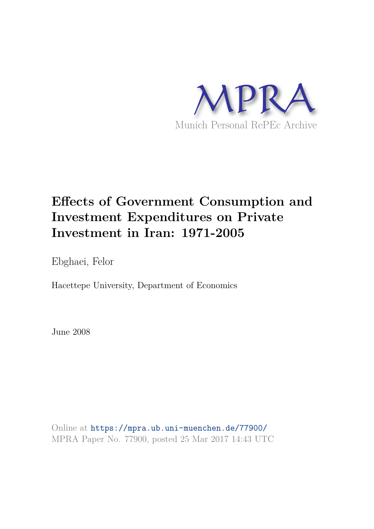

# **Effects of Government Consumption and Investment Expenditures on Private Investment in Iran: 1971-2005**

Ebghaei, Felor

Hacettepe University, Department of Economics

June 2008

Online at https://mpra.ub.uni-muenchen.de/77900/ MPRA Paper No. 77900, posted 25 Mar 2017 14:43 UTC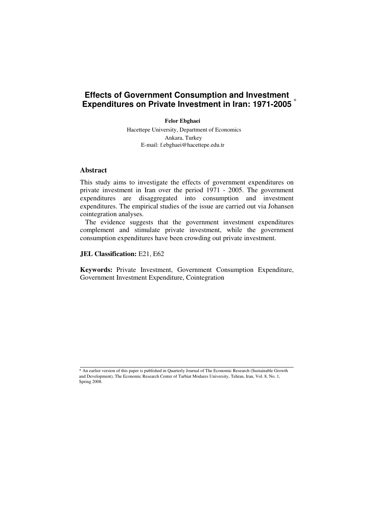#### **Effects of Government Consumption and Investment Expenditures on Private Investment in Iran: 1971-2005**  \*

Ali Reza Kazerooni, Ph.D.<sup>∗</sup> **Felor Ebghaei Felor Ebghaei Felor Ebghaei Felor Ebghaei**

ettepe University, Department of Economics E-mail: f.ebghaei@hacettepe.edu.tr **Faculty of Economic and Administrative Sciences, 2nd Floor Hikara**, Turkey Ankara, Turkey Hacettepe University, Department of Economics

#### **Abstract**

This study aims to investigate the effects of government expenditures on private investment in Iran over the period 1971 - 2005. The government expenditures are disaggregated into consumption and investment expenditures. The empirical studies of the issue are carried out via Johansen cointegration analyses.

 The evidence suggests that the government investment expenditures complement and stimulate private investment, while the government consumption expenditures have been crowding out private investment.

**JEL Classification:** E21, E62

**Keywords:** Private Investment, Government Consumption Expenditure, Government Investment Expenditure, Cointegration

 \* An earlier version of this paper is published in Quarterly Journal of The Economic Research (Sustainable Growth ∗ An eartier version ot this paper is published in Quarterly Journal of The Economic Research (Sustainable Gro<br>and Development), The Economic Research Center of Tarbiat Modares University, Tehran, Iran, Vol. 8, No. 1, Spring 2008.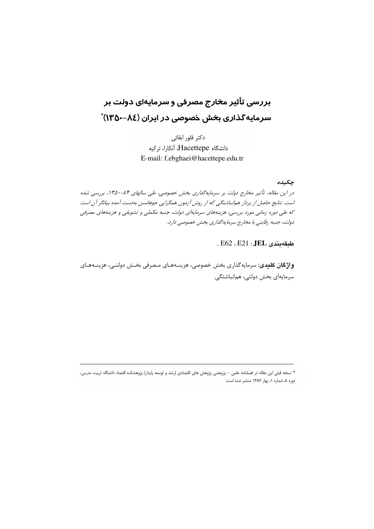# بررسی تأثیر مخارج مصرفی و سرمایهای دولت بر سرمایه *گ*ذاری بخش خصوصی در ایران (۸٤–۱۳۵۰) ً

دكتر فلور ابقائى دانشگاه Hacettepe، آنکارا، ترکیه E-mail: f.ebghaei@hacettepe.edu.tr

#### جكىدە

در این مقاله، تأثیر مخارج دولت بر سرمایهگذاری بخش خصوصی، طی سالهای ۸۴-۱۳۵۰، بررسی شده است. نتایج حاصل از بردار هم|نباشتگی که از روش آزمون همگرایی جوهانسن بهدست آمده بیانگر آن است که طی دوره زمانی مورد بررسی، هزینههای سرمایهای دولت، جنبه مکملی و تشویقی و هزینههای مصرفی دولت، جنبه رقابتي با مخارج سرمايه گذاري بخش خصوصي دارد.

. E62 . E21 : JEL . E62

واژگان کلیدی: سرمایهگذاری بخش خصوصی، هزینـههـای مـصرفی بخـش دولتـی، هزینـههـای سرمايەاي بخش دولتى، همانباشتگى.

<sup>\*</sup> نسخه قبلی این مقاله در فصلنامه علمی – پژوهشی پژوهش های اقتصادی (رشد و توسعه پایدار) پژوهشکده اقتصاد دانشگاه تربیت مدرس، دوره ٨، شماره ١، بهار ١٣٨٧ منتشر شده است.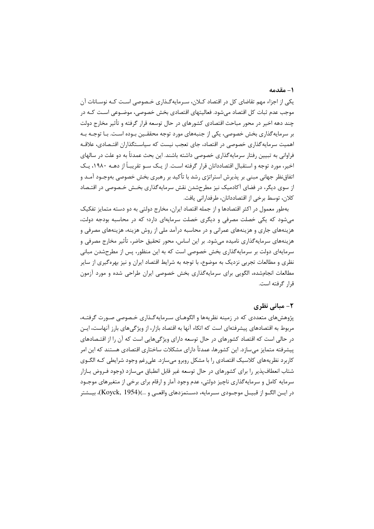#### 1- مقدمه

یکی از اجزاء مهم تقاضای کل در اقتصاد کـلان، سـرمایهگـذاری خـصوصی اسـت کـه نوسـانات آن موجب عدم ثبات کل اقتصاد می شود. فعالیتهای اقتصادی بخش خصوصی، موضـوعی اسـت کـه در چند دهه اخیر در محور مباحث اقتصادی کشورهای در حال توسعه قرار گرفته و تأثیر مخارج دولت بر سرمایهگذاری بخش خصوصی، یکی از جنبههای مورد توجه محققـین بـوده اسـت. بـا توجـه بـه اهمیت سرمایه گذاری خصوصی در اقتصاد، جای تعجب نیست که سیاسـتگذاران اقتـصادی، علاقـه فراوانی به تبیین رفتار سرمایهگذاری خصوصی داشته باشند. این بحث عمدتاً به دو علت در سالهای اخیر، مورد توجه و استقبال اقتصاددانان قرار گرفته اسـت. از یـک سـو تقریبـاً از دهــه ۱۹۸۰، یـک اتفاقنظر جهانی مبنی بر پذیرش استراتژی رشد با تأکید بر رهبری بخش خصوصی بهوجـود آمـد و از سوی دیگر، در فضای آکادمیک نیز مطرحشدن نقش سرمایهگذاری بخـش خـصوصی در اقتـصاد كلان، توسط برخي از اقتصاددانان، طرفداراني يافت.

بهطور معمول در اکثر اقتصادها و از جمله اقتصاد ایران، مخارج دولتی به دو دسته متمایز تفکیک می شود که یکی خصلت مصرفی و دیگری خصلت سرمایهای دارد؛ که در محاسبه بودجه دولت، هزینههای جاری و هزینههای عمرانی و در محاسبه درآمد ملی از روش هزینه، هزینههای مصرفی و هزينههاي سرمايه گذاري ناميده مي شود. بر اين اساس، محور تحقيق حاضر، تأثير مخارج مصرفي و سرمایهای دولت بر سرمایهگذاری بخش خصوصی است که به این منظور، پس از مطرحشدن مبانی نظری و مطالعات تجربی نزدیک به موضوع، با توجه به شرایط اقتصاد ایران و نیز بهرهگیری از سایر مطالعات انجامشده، الگویی برای سرمایهگذاری بخش خصوصی ایران طراحی شده و مورد آزمون قرار گرفته است.

#### ۲– میانے, نظری

پژوهشهای متعددی که در زمینه نظریهها و الگوهـای سـرمایهگـذاری خـصوصی صـورت گرفتـه، مربوط به اقتصادهای پیشرفتهای است که اتکاء آنها به اقتصاد بازار، از ویژگیهای بارز آنهاست، ایـن در حالی است که اقتصاد کشورهای در حال توسعه دارای ویژگیهایی است که آن را از اقتـصادهای پیشرفته متمایز میسازد. این کشورها، عمدتأ دارای مشکلات ساختاری اقتصادی هستند که این امر کاربرد نظریههای کلاسیک اقتصادی را با مشکل روبرو می سازد. علی رغم وجود شرایطی کـه الگـوی شتاب انعطاف پذیر را برای کشورهای در حال توسعه غیر قابل انطباق می،سازد (وجود فـروض بـازار سرمایه کامل و سرمایهگذاری ناچیز دولتی، عدم وجود آمار و ارقام برای برخی از متغیرهای موجـود در ایــن الگــو از قبیــل موجــودی ســرمایه، دســتمزدهای واقعــی و …)(Koyck, 1954)، بیــشتر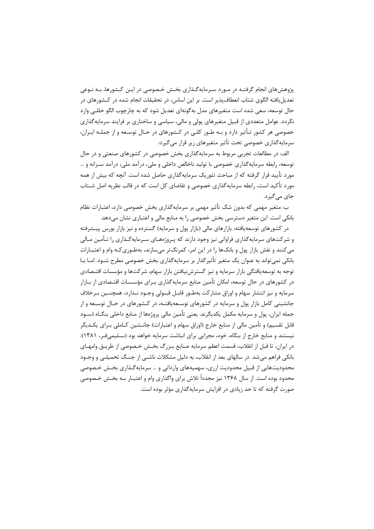پژوهش های انجام گرفتـه در مـورد سـرمایهگـذاری بخـش خـصوصی در ایـن کـشورها، بـه نـوعی تعدیل یافته الگوی شتاب انعطاف پذیر است. بر این اساس، در تحقیقات انجام شده در کــشورهای در حال توسعه، سعی شده است متغیرهای مدل بهگونهای تعدیل شود که به چارچوب الگو خللـی وارد نگردد. عوامل متعددی از قبیل متغیرهای پولی و مالی، سیاسی و ساختاری بر فرایند سرمایه گذاری خصوصی هر کشور تـأثیر دارد و بـه طـور کلـی در کـشورهای در حـال توسـعه و از جملـه ایـران، سرمایهگذاری خصوصی تحت تأثیر متغیرهای زیر قرار می گیرد:

الف: در مطالعات تجربی مربوط به سرمایهگذاری بخش خصوصی در کشورهای صنعتی و در حال توسعه، رابطه سرمایه گذاری خصوصی با تولید ناخالص داخلی و ملی، در آمد ملی، در آمد سـرانه و … مورد تأیید قرار گرفته که از مباحث تئوریک سرمایهگذاری حاصل شده است. آنچه که بیش از همه مورد تأکید است، رابطه سرمایهگذاری خصوصی و تقاضای کل است که در قالب نظریه اصل شــتاب جای مے گیرد.

ب: متغیر مهمی که بدون شک تأثیر مهمی بر سرمایهگذاری بخش خصوصی دارد، اعتبارات نظام بانکی است. این متغیر دسترسی بخش خصوصی را به منابع مالی و اعتباری نشان می دهد.

در کشورهای توسعه یافته، بازارهای مالی (بازار پول و سرمایه) گسترده و نیز بازار بورس پیـشرفته و شرکتهای سرمایهگذاری فراوانی نیز وجود دارند که پـروژههـای سـرمایهگـذاری را تـأمین مـالی می کنند و نقش بازار پول و بانکها را در این امر، کمرنگتر میسازند، بهطـوریکـه وام و اعتبـارات بانکی نمی تواند به عنوان یک متغیر تأثیرگذار بر سرمایهگذاری بخش خصوصی مطرح شــود. امــا بــا توجه به توسعهپافتگی بازار سرمایه و نیز گسترشiیافتن بازار سهام، شرکتها و مؤسسات اقتـصادی در کشورهای در حال توسعه، امکان تأمین منابع سرمایهگذاری بـرای مؤسـسات اقتـصادی از بـازار سرمايه و نيز انتشار سهام و اوراق مشاركت بهطـور قابـل قبـولى وجـود نـدارد، همچنـين بـرخلاف جانشینی کامل بازار پول و سرمایه در کشورهای توسعهپافتـه، در کـشورهای در حـال توسـعه و از جمله ايران، پول و سرمايه مكمل يكديگرند. يعني تأمين مالي پروژهها از منابع داخلي بنگــاه (ســود قابل تقسیم) و تأمین مالی از منابع خارج (اوراق سهام و اعتبارات) جانــشین کــاملی بــرای یکــدیگر نیستند و منابع خارج از بنگاه، خود، مجرایی برای انباشت سرمایه خواهد بود (سـلیمی فـر، ۱۳۸۱). در ايران، تا قبل از انقلاب، قسمت اعظم سرمايه صنايع بـزرگ بخـش خـصوصى از طريـق وامهـاى بانکی فراهم می شد. در سالهای بعد از انقلاب، به دلیل مشکلات ناشـی از جنـگ تحمیلـی و وجـود محدودیتهایی از قبیل محدودیت ارزی، سهمیههای وارداتی و … سرمایه گـذاری بخـش خـصوصی محدود بوده است. از سال ۱۳۶۸ نیز مجدداً تلاش برای واگذاری وام و اعتبــار بــه بخــش خــصوصی صورت گرفته که تا حد زیادی در افزایش سرمایهگذاری مؤثر بوده است.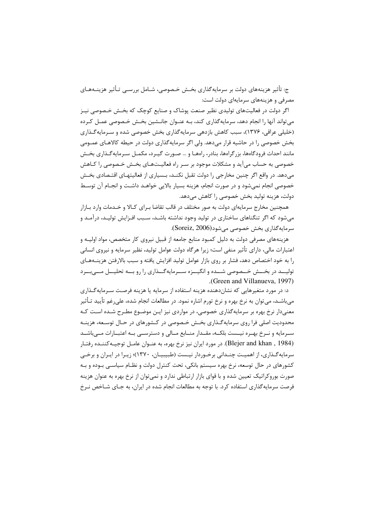ج: تأثیر هزینههای دولت بر سرمایهگذاری بخـش خـصوصی، شـامل بررســی تـأثیر هزینــههـای مصرفی و هزینههای سرمایهای دولت است:

اگر دولت در فعالیتهای تولیدی نظیر صنعت پوشاک و صنایع کوچک که بخـش خـصوصی نیـز می تواند آنها را انجام دهد، سرمایه گذاری کند، بـه عنـوان جانـشین بخـش خـصوصی عمـل کـرده (خلیلی عراقی، ۱۳۷۶)، سبب کاهش بازدهی سرمایهگذاری بخش خصوصی شده و سـرمایه گـذاری بخش خصوصی را در حاشیه قرار میدهد. ولی اگر سرمایهگذاری دولت در حیطه کالاهـای عمـومی مانند احداث فرودگاهها، بزرگراهها، بنادر، راههـا و … صـورت گیـرد، مکمـل سـرمایهگـذاری بخـش خصوصی به حساب می آید و مشکلات موجود بر سـر راه فعالیـتهـای بخـش خـصوصی را کـاهش میدهد. در واقع اگر چنین مخارجی را دولت تقبل نکنــد، بـسیاری از فعالیتهـای اقتـصادی بخـش خصوصی انجام نمیشود و در صورت انجام، هزینه بسیار بالایی خواهـد داشـت و انجـام آن توسـط دولت، هزينه توليد بخش خصوصي را كاهش مي دهد.

همچنین مخارج سرمایهای دولت به صور مختلف در قالب تقاضا بـرای کـالا و خـدمات وارد بـازار می شود که اگر تنگناهای ساختاری در تولید وجود نداشته باشـد، سـبب افـزایش تولیـد، درآمـد و سرمايه گذاري بخش خصوصي مي شود(Soreiz, 2006).

هزینههای مصرفی دولت به دلیل کمبود منابع جامعه از قبیل نیروی کار متخصص، مواد اولیـه و اعتبارات مالی، دارای تأثیر منفی است؛ زیرا هرگاه دولت عوامل تولید، نظیر سرمایه و نیروی انسانی را به خود اختصاص دهد، فشار بر روى بازار عوامل توليد افزايش يافته و سبب بالارفتن هزينــههـاى تولیــد در بخــش خــصوصی شــده و انگیــزه ســرمایهگــذاری را رو بــه تحلیــل مــی بــرد (Green and Villanueva, 1997).

د: در مورد متغیرهایی که نشاندهنده هزینه استفاده از سرمایه یا هزینه فرصت سـرمایهگـذاری میباشــد، میتوان به نرخ بهره و نرخ تورم اشاره نمود. در مطالعات انجام شده، علی رغم تأیید تـأثیر معنی دار نرخ بهره بر سرمایه گذاری خصوصی، در مواردی نیز ایـن موضـوع مطـرح شـده اسـت کـه محدودیت اصلی فرا روی سرمایه گـذاری بخـش خـصوصی در کـشورهای در حـال توسـعه، هزینـه سـرمايه و نـرخ بهـره نيــست بلكــه، مقــدار منــابع مــالى و دسترســى بــه اعتبــارات مــى باشــد (Blejer and khan , 1984). در مورد ايران نيز نرخ بهره، به عنـوان عامــل توجيــهكننــده رفتــار سرمایه گـذاری، از اهمیـت چنـدانی برخـوردار نیـست (طبیبیـان، ۱۳۷۰)؛ زیـرا در ایـران و برخـی کشورهای در حال توسعه، نرخ بهره سیستم بانکی، تحت کنترل دولت و نظـام سیاسـی بـوده و بـه صورت بوروکراتیک تعیین شده و با قوای بازار ارتباطی ندارد و نمیتوان از نرخ بهره به عنوان هزینه فرصت سرمایهگذاری استفاده کرد. با توجه به مطالعات انجام شده در ایران، به جـای شــاخص نــرخ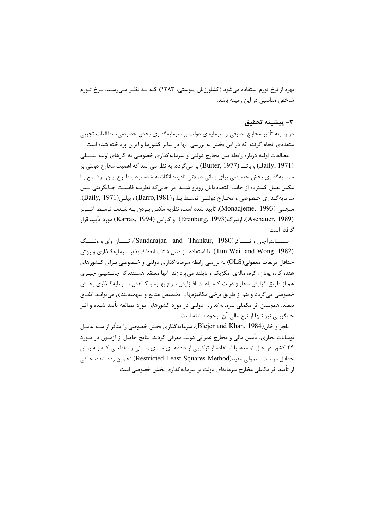بهره از نرخ تورم استفاده می شود (کشاورزیان پیوستی، ۱۳۸۳) کـه بـه نظـر مـی رسـد، نـرخ تـورم شاخص مناسبی در این زمینه باشد.

### ٣- ييشينه تحقيق

در زمینه تأثیر مخارج مصرفی و سرمایهای دولت بر سرمایهگذاری بخش خصوصی، مطالعات تجربی متعددی انجام گرفته که در این بخش به بررسی آنها در سایر کشورها و ایران پرداخته شده است.

مطالعات اولیه درباره رابطه بین مخارج دولتی و سرمایه گذاری خصوصی به کارهای اولیه بیــــلی (Baily, 1971) و باتــر (Buiter, 1977) بر میگردد. به نظر می٫رسد که اهمیت مخارج دولتی بر سرمایه گذاری بخش خصوصی برای زمانی طولانی نادیده انگاشته شده بود و طـرح ایـن موضـوع بـا عکس|لعمل گسترده از جانب اقتصاددانان روبرو شــد. در حالی که نظریـه قابلیـت جـایگزینی بـین سرمايه گذارى خصوصى و مخارج دولتى توسط بارو(Barro,1981) ، بيلى (Baily, 1971)، منجمي (Monadjeme, 1993)، تأييد شده است، نظريه مكمل بـودن بـه شـدت توسـط آشـوئر (Aschauer, 1989)، ارنبرگ(Erenburg, 1993) و كاراس (Karras, 1994) مورد تأييد قرار گرفته است.

ســـــــاندراجان و تــــــاکر (Sundarajan and Thankur, 1980)، تـــــان وای و ونـــــگ (Tun Wai and Wong, 1982)، با استفاده از مدل شتاب انعطافپذیر سرمایهگذاری و روش حداقل مربعات معمولی(OLS) به بررسی رابطه سرمایهگذاری دولتی و خـصوصی بـرای کـشورهای هند، کړه، یونان، کړه، مالزي، مکزیک و تایلند می پردازند. آنها معتقد هستنندکه جانــشینی جبـری هم از طریق افزایش مخارج دولت کـه باعـث افـزایش نـرخ بهـره و کـاهش سـرمایهگـذاری بخـش خصوصی می گردد و هم از طریق برخی مکانیزمهای تخصیص منابع و سهمیهبندی می توانـد اتفـاق بیفتد. همچنین اثر مکملی سرمایهگذاری دولتی در مورد کشورهای مورد مطالعه تأیید شـده و اثـر جايگزيني نيز تنها از نوع مالي آن وجود داشته است.

بلجر و خان(Blejer and Khan, 1984)، سرمایه گذاری بخش خصوصی را متأثر از ســه عامــل نوسانات تجاری، تأمین مالی و مخارج عمرانی دولت معرفی کردند. نتایج حاصل از آزمـون در مـورد ۲۴ کشور در حال توسعه، با استفاده از ترکیبی از دادههـای سـری زمـانی و مقطعـی کـه بـه روش حداقل مربعات معمولي مقيد(Restricted Least Squares Method) تخمين زده شده، حاكي از تأیید اثر مکملی مخارج سرمایهای دولت بر سرمایهگذاری بخش خصوصی است.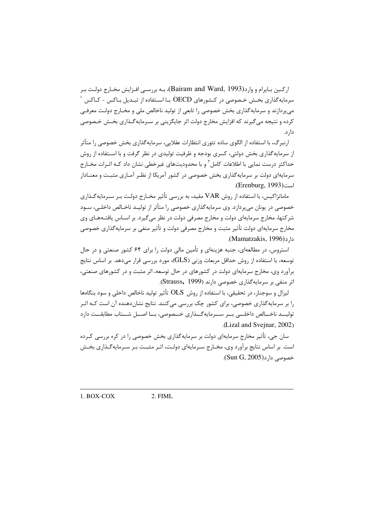اركـين بـايرام و وارد(Bairam and Ward, 1993)، بـه بررسـي افـزايش مخـارج دولـت بـر سرمایهگذاری بخــش خـصوصی در کــشورهای OECD بــا اســتفاده از تبــدیل بــاکس - کــاکس ' میپردازند و سرمایهگذاری بخش خصوصی را تابعی از تولید ناخالص ملی و مخـارج دولـت معرفـی کرده و نتیجه می گیرند که افزایش مخارج دولت اثر جایگزینی بر سـرمایهگـذاری بخـش خـصوصی دار د.

ارنبرگ، با استفاده از الگوی ساده تئوری انتظارات عقلایی، سرمایهگذاری بخش خصوصی را متأثر از سرمایهگذاری بخش دولتی، کسری بودجه و ظرفیت تولیدی در نظر گرفت و با اسـتفاده از روش حداکثر درست نمایی با اطلاعات کامل ٔ و با محدودیتهای غیرخطی نشان داد کـه اثـرات مخـارج سرمایهای دولت بر سرمایهگذاری بخش خصوصی در کشور آمریکا از نظـر آمـاری مثبـت و معنــادار است(Erenburg, 1993).

ماماتزاکیس، با استفاده از روش VAR مقید، به بررسی تأثیر مخـارج دولـت بـر سـرمایهگـذاری خصوصی در یونان می پردازد. وی سرمایه گذاری خصوصی را متأثر از تولیـد ناخـالص داخلـی، سـود شرکتها، مخارج سرمایهای دولت و مخارج مصرفی دولت در نظر می گیرد. بر اسـاس یافتـههـای وی مخارج سرمایهای دولت تأثیر مثبت و مخارج مصرفی دولت و تأثیر منفی بر سرمایهگذاری خصوصی دا, د (Mamatzakis, 1996).

استروس، در مطالعهای، جنبه هزینهای و تأمین مالی دولت را برای ۶۴ کشور صنعتی و در حال توسعه، با استفاده از روش حداقل مربعات وزنی (GLS)، مورد بررسی قرار میدهد. بر اساس نتایج برآورد وی، مخارج سرمایهای دولت در کشورهای در حال توسعه، اثر مثبت و در کشورهای صنعتی، اثر منفی بر سرمایهگذاری خصوصی دارند (Strauss, 1999).

ليزال و سوجنار، در تحقيقي، با استفاده از روش OLS تأثير توليد ناخالص داخلي و سود بنگاهها را بر سرمایهگذاری خصوصی، برای کشور چک بررسی میکنند. نتایج نشاندهنده آن است کـه اثـر تولیــد ناخــالص داخلــی بــر ســرمایهگــذاری خــصوصی، بــا اصــل شــتاب مطابقــت دارد .(Lizal and Svejnar, 2002)

سان جی، تأثیر مخارج سرمایهای دولت بر سرمایهگذاری بخش خصوصی را در کره بررسی کـرده است. بر اساس نتایج برآورد وی، مخـارج سـرمایهای دولـت، اثـر مثبـت بـر سـرمایه گـذاری بخـش خصوصی دارد(Sun G, 2005).

 $1.$  BOX-COX 2. FIML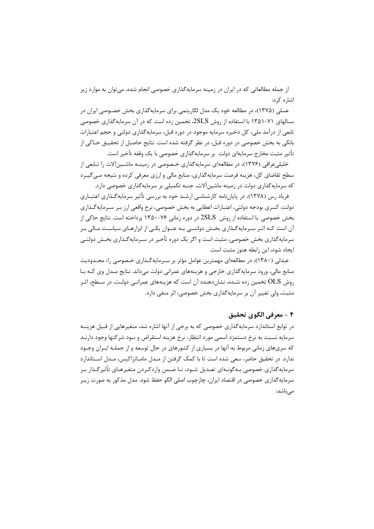از جمله مطالعاتی که در ایران در زمینه سرمایهگذاری خصوصی انجام شده، می توان به موارد زیر اشاره کړ د:

عسلی (۱۳۷۵)، در مطالعه خود یک مدل لگاریتمی برای سرمایهگذاری بخش خصـوصی ایران در سـالهای ۷۱-۱۳۵۱ با استفاده از روش 2SLS، تخمین زده است که در آن سرمایهگذاری خصوصی تابعی از درآمد ملی، کل ذخیره سرمایه موجود در دوره قبل، سرمایه گذاری دولتی و حجم اعتبارات بانکی به بخش خصوصی در دوره قبل، در نظر گرفته شده است. نتایج حاصـل از تحقیــق حــاکی از تأثیر مثبت مخارج سرمایهای دولت بر سرمایهگذاری خصوصی با یک وقفه تأخیر است.

خلیلی عراقی (۱۳۷۶)، در مطالعهای سرمایه گذاری خـصوصی در زمینــه ماشــین آلات را تــابعی از سطح تقاضای کل، هزینه فرصت سرمایهگذاری، منابع مالی و ارزی معرفی کرده و نتیجه مـی٤گیـرد که سرمایهگذاری دولت در زمینه ماشین آلات، جنبه تکمیلی بر سرمایهگذاری خصوصی دارد.

فریاد رس (۱۳۷۸)، در پایانِنامه کارشناسی ارشـد خود به بررسی تأثیر سرمایهگـذاری اعتبــاری دولت، کسری بودجه دولتی، اعتبارات اعطایی به بخش خصوصی، نرخ واقعی ارز بـر سـرمایه گـذاری بخش خصوصی با استفاده از روش  $\text{SLS}$  در دوره زمانی ۷۶-۱۳۵۰ پرداخته است. نتایج حاکی از آن است کـه اثـر سـرمايهگـذاري بخـش دولتــي بـه عنـوان يکـي از ابزارهـاي سياسـت مـالي بـر سرمایهگذاری بخش خصوصی، مثبت است و اگر یک دوره تأخیر در سـرمایهگـذاری بخـش دولتــی ايجاد شود، اين رابطه هنوز مثبت است.

عبدلی (۱۳۸۰)، در مطالعهای مهمترین عوامل مؤثر بر سـرمایهگـذاری خـصوصی را، محـدودیت منابع مالي، ورود سرمايه گذاري خارجي و هزينههاي عمراني دولت مي داند. نتايج مـدل وي كـه بـا روش OLS تخمین زده شـده، نشاندهنده آن است که هزینههای عمرانـی دولـت، در سـطح، اثـر مثبت، ولي تغيير آن بر سرمايه گذاري بخش خصوصي، اثر منفي دارد.

### ۴ - معرفي الگوي تحقيق

در توابع استاندارد سرمایهگذاری خصوصی که به برخی از آنها اشاره شد، متغیرهایی از قبیل هزینـه سرمايه نسبت به نرخ دستمزد اسمى مورد انتظار، نرخ هزينه استقراض و سود شركتها وجود دارنـد که سریهای زمانی مربوط به آنها در بسیاری از کشورهای در حال توسعه و از جملـه ایـران وجـود ندارد. در تحقیق حاضر، سعی شده است تا با کمک گرفتن از مـدل مامـاتزاکیس، مـدل اسـتاندارد سرمایه گذاری خصوصی بـه گونــهای تعــدیل شــود، تــا ضــمن واردکــردن متغیرهــای تأثیر گــذار بــر سرمایه گذاری خصوصی در اقتصاد ایران، چارچوب اصلی الگو حفظ شود. مدل مذکور به صورت زیـر مے باشد: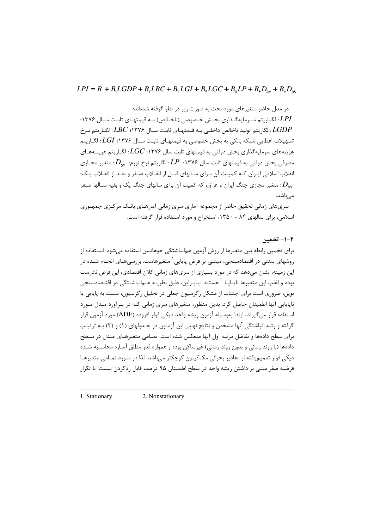در مدل حاضر متغیرهای مورد بحث به صورت زیر در نظر گرفته شدهاند:

LPI: لگــاریتم ســرمایهگــذاری بخــش خــصوصی (ناخــالص) بــه قیمتهــای ثابــت ســال ۱۳۷۶؛ ا نگاریتم تولید ناخالص داخلـی بــه قیمتهـای ثابـت ســال ۱۳۷۶؛  $\mathit{LBC}$  : لگـاریتم نـرخ: تسهیلات اعطایی شبکه بانکی به بخش خصوصی به قیمتهـای ثابـت ســال ۱۳۷۶؛  $LGI$ : لگــار یتم هزینههای سرمایهگذاری بخش دولتی به قیمتهای ثابت سال ۱۳۷۶؛  $LC$ : لگـاریتم هزینــههـای ، مصرفی بخش دولتی به قیمتهای ثابت سال ۱۳۷۶؛  $L P$ : لگاریتم نرخ تورم؛  $D_{\scriptscriptstyle\text{av}}$ : متغیر مجـازی انقلاب اسلامی ایـران کـه کمیـت آن بـرای سـالهای قبـل از انقـلاب صـفر و بعـد از انقـلاب یـک؛ . متغیر مجازی جنگ ایران و عراق، که کمیت آن برای سالهای جنگ یک و بقیه سـالها صـفر:  $D_{_{\sf A}}$ مے باشد.

سریهای زمانی تحقیق حاضر از مجموعه آماری سری زمانی آمارهـای بانـک مرکـزی جمهـوری اسلامی، برای سالهای ۸۴ - ۱۳۵۰، استخراج و مورد استفاده قرار گرفته است.

#### ۴-۱- تخمین

برای تخمین رابطه بین متغیرها از روش آزمون همانباشتگی جوهانسن استفاده می شود. اسـتفاده از روشهای سنتی در اقتصادسنجی، مبتنی بر فرض پایایی <sup>۱</sup> متغیرهاست. بررسی هـای انجـام شـده در این زمینه، نشان می۵هد که در مورد بسیاری از سریهای زمانی کلان اقتصادی، این فرض نادرست بوده و اغلب این متغیرها ناپــایــا <sup>۲</sup> هستند. بنابــراین، طبق نظریــه هــم|نباشــتگی در اقتــصادسنجی نوین، ضروری است برای اجتناب از مشکل رگرسیون جعلی در تحلیل رگرسیون، نسبت به پایایی یا ناپایایی آنها اطمینان حاصل کرد. بدین منظور، متغیرهای سری زمانی کـه در بـرآورد مـدل مـورد استفاده قرار می گیرند، ابتدا بهوسیله آزمون ریشه واحد دیکی فولر افزوده (ADF) مورد آزمون قرار گرفته و رتبه انباشتگی آنها مشخص و نتایج نهایی این آزمـون در جـدولهای (۱) و (۲) بـه ترتیـب برای سطح دادهها و تفاضل مرتبه اول آنها منعکس شده است. تمـامی متغیرهـای مـدل در سـطح دادهها (با روند زمانی و بدون روند زمانی) غیرساکن بوده و همواره قدر مطلق آمـاره محاسـبه شـده دیکی فولر تعمیمیافته از مقادیر بحرانی مک¢ینون کوچکتر می،باشد؛ لذا در مـورد تمـامی متغیرهـا فرضیه صفر مبنی بر داشتن ریشه واحد در سطح اطمینان ۹۵ درصد، قابل ردکردن نیست. با تکرار

1. Stationary 2. Nonstationary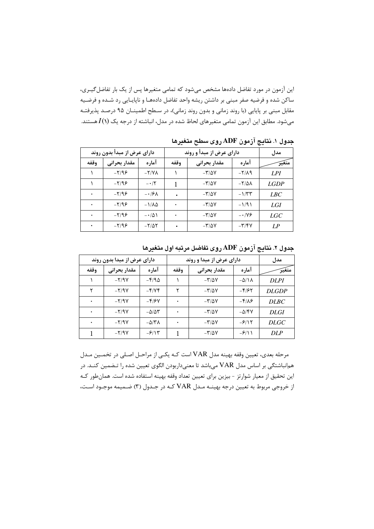این آزمون در مورد تفاضل دادهها مشخص میشود که تمامی متغیرها پس از یک بار تفاضل گیـری، ساكن شده و فرضيه صفر مبنى بر داشتن ريشه واحد تفاضل دادههـا و ناپايـايى رد شـده و فرضـيه مقابل مبنی بر پایایی (با روند زمانی و بدون روند زمانی)، در سطح اطمینـان ۹۵ درصـد پذیرفتـه میشود. مطابق این آزمون تمامی متغیرهای لحاظ شده در مدل، انباشته از درجه یک  $I(\mathcal{N})$ هستند.

| دارای عرض از مبدأ بدون روند |              |                    | دارای عرض از مبدأ و روند | مدل                            |                                    |             |
|-----------------------------|--------------|--------------------|--------------------------|--------------------------------|------------------------------------|-------------|
| وقفه                        | مقدار بحرانى | آماره              | وقفه                     | مقدار بحرانى                   | آماره                              | متغير       |
|                             | $-Y/99$      | $-Y/Y\Lambda$      |                          | $-\frac{1}{2}\sqrt{2V}$        | $-\mathsf{Y}/\mathsf{A}\mathsf{q}$ | LPI         |
|                             | $-Y/99$      | $- \cdot / \cdot$  |                          | $-\frac{1}{2}\sqrt{2}V$        | $-\frac{1}{2}$                     | <b>LGDP</b> |
| ٠                           | $-Y/99$      | $-19\lambda$       | ٠                        | $-\mathbf{r}/\Delta\mathbf{V}$ | $-1/5$                             | LBC         |
| ٠                           | $-Y/99$      | $-1/\lambda\Delta$ | ٠                        | $-\mathbf{r}/\Delta\mathbf{V}$ | $-1/9$                             | LGI         |
|                             | $-Y/99$      | $-101$             |                          | $-\frac{1}{2}\sqrt{2}V$        | $ \cdot$ $N$ ۶                     | LGC         |
| $\bullet$                   | $-Y/99$      | $-Y/\Delta Y$      |                          | $-\mathbf{r}/\Delta\mathbf{V}$ | $-\mathbf{y}/\mathbf{y}$           | LP          |

جدول ۱. نتایج آزمون ADF روی سطح متغیرها

| دارای عرض از مبدا بدون روند |              |                                    | دارای عرض از مبدا و روند | مدل                             |                             |              |
|-----------------------------|--------------|------------------------------------|--------------------------|---------------------------------|-----------------------------|--------------|
| وقفه                        | مقدار بحرانى | آماره                              | وقفه                     | مقدار بحرانى                    | آماره                       | متغير        |
|                             | $-Y/9V$      | $-F/9\Delta$                       |                          | $-\frac{1}{2}\sqrt{2}V$         | $-\Delta/\Lambda$           | <b>DLPI</b>  |
| ۲                           | $-Y/9V$      | $-\frac{\mathcal{E}}{\mathcal{E}}$ | ٢                        | $-\mathsf{r}/\Delta \mathsf{V}$ | $-8/95$                     | <b>DLGDP</b> |
| ٠                           | $-Y/9V$      | $-5/5V$                            | ۰                        | $-\mathbf{r}/\Delta\mathbf{V}$  | $-\frac{9}{2}$              | <b>DLBC</b>  |
| ۰                           | $-Y/9V$      | $-\Delta/\Delta \tau$              |                          | $-\mathsf{r}/\Delta \mathsf{V}$ | $-\Delta$ /۴۷               | <b>DLGI</b>  |
| ٠                           | $-Y/9V$      | $-\Delta/\tau\lambda$              | ۰                        | $-\mathsf{r}/\Delta \mathsf{V}$ | $-5/15$                     | <b>DLGC</b>  |
|                             | $-Y/9V$      | $-\frac{\mathcal{S}}{2}$           |                          | $-\mathsf{r}/\Delta \mathsf{V}$ | $-\frac{\epsilon}{\lambda}$ | <b>DLP</b>   |

جدول ۲. نتايج آزمون ADF روى تفاضل مرتبه اول متغيرها

مرحله بعدي، تعيين وقفه بهينه مدل VAR است كـه يكـي از مراحـل اصـلى در تخمـين مـدل همانباشتگی بر اساس مدل VAR میباشد تا معنیداربودن الگوی تعیین شده را تـضمین کنـد. در این تحقیق از معیار شوارتز - بیزین برای تعیین تعداد وقفه بهینه استفاده شده است. همانطور کـه از خروجي مربوط به تعيين درجه بهينــه مــدل VAR كــه در جــدول (٣) ضـميمه موجـود اسـت،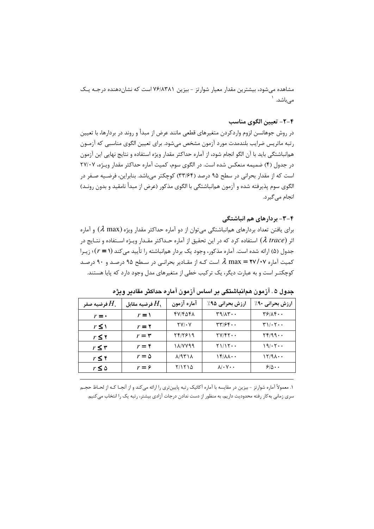مشاهده می شود، بیشترین مقدار معیار شوارتز - بیزین ۷۶/۸۳۸۱ است که نشاندهنده درجـه یـک مے باشد. <sup>۱</sup>

### ۴-۲- تعیین الگوی مناسب

در روش جوهانسن لزوم واردكردن متغيرهاي قطعي مانند عرض از مبدأ و روند در بردارها، با تعيين رتبه ماتريس ضرايب بلندمدت مورد آزمون مشخص مىشود. براى تعيين الگوى مناسبي كه آزمـون هم|نباشتگی باید با آن الگو انجام شود، از آماره حداکثر مقدار ویژه استفاده و نتایج نهایی این آزمون در جدول (۴) ضمیمه منعکس شده است. در الگوی سوم، کمیت آماره حداکثر مقدار ویـژه، ۲۷/۰۷ است که از مقدار بحرانی در سطح ۹۵ درصد (۳۳/۶۴) کوچکتر می باشد. بنابراین، فرضـیه صـفر در الگوی سوم پذیرفته شده و آزمون همانباشتگی با الگوی مذکور (عرض از مبدأ نامقید و بدون رونـد) انجام مے گیر د.

#### ۴–۳– بردارهای هم انباشتگی

برای یافتن تعداد بردارهای همانباشتگی می توان از دو آماره حداکثر مقدار ویژه ( $\lambda$  max) و آماره اثر ( $\lambda~trace$ ) استفاده كرد كه در اين تحقيق از آماره حـداكثر مقـدار ويـژه اسـتفاده و نتـايج در جدول (۵) ارائه شده است. آماره مذکور، وجود یک بردار همانباشته را تأیید می کند (r = ۱)؛ زیـرا کمیت آماره ۲۷/۰۷ = max ه است کـه از مقـادیر بحرانـی در سـطح ۹۵ درصـد و ۹۰ درصـد کوچکتـر است و به عبارت دیگر، یک ترکیب خطی از متغیرهای مدل وجود دارد که پایا هستند.

| فرضيه صفر $H_\star$ | فرضيه مقابل $H_\lambda$ | آماره آزمون                                | ارزش بحرانی ۹۵٪                                 | <b>ارزش بحرانی ۹۰٪</b>                       |
|---------------------|-------------------------|--------------------------------------------|-------------------------------------------------|----------------------------------------------|
| $r = \cdot$         | $r = \sqrt{ }$          | 1769117                                    | $\mathbf{r}$ $\mathbf{v}$                       | $\mathbf{Y}$ $\mathbf{Y}$ $\mathbf{X}$       |
| $r \leq 1$          | $r = r$                 | $\mathbf{Y} \mathbf{V} / \cdot \mathbf{V}$ | $\mathbf{r}\mathbf{r}$ / $\mathbf{r}\mathbf{r}$ | $\Gamma$ )/ $\cdot$ $\Gamma$ $\cdot$ $\cdot$ |
| $r \leq 7$          | $r = r$                 | 7417819                                    | $\Upsilon V/\Upsilon \Upsilon \cdot \cdot$      | YF/99                                        |
| $r \leq r$          | $r = \mathfrak{r}$      | 187799                                     | $Y1/1Y \cdots$                                  | 19/0.7                                       |
| $r \leq r$          | $r = \Delta$            | $\lambda$ /9٣١٨                            | $\mathcal{N}(\mathcal{N})$                      | $17/9$ $\cdots$                              |
| $r \leq \Delta$     | $r = \hat{r}$           | ۲/۱۲۱۵                                     | $\lambda/\cdot$ Y $\cdot$ $\cdot$               | $50 \cdots$                                  |

جدول ۵ . آزمون همانباشتگی بر اساس آزمون آماره حداکثر مقادیر ویژه

١. معمولاً آماره شوارتز - بيزين در مقايسه با آماره أكائيك رتبه پايينتري را ارائه ميكند و از أنجـا كـه از لحـاظ حجـم سری زمانی به کار رفته محدودیت داریم، به منظور از دست ندادن درجات آزادی بیشتر، رتبه یک را انتخاب می کنیم.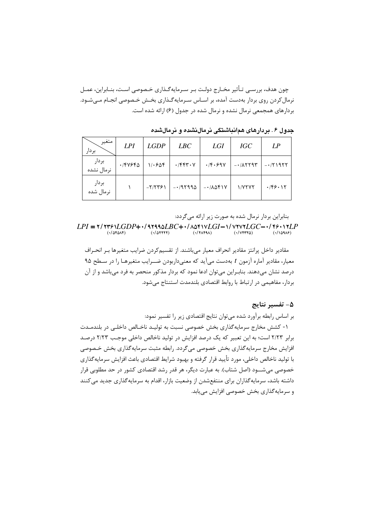چون هدف، بررسـي تـأثير مخـارج دولـت بـر سـرمايهگـذاري خـصوصي اسـت، بنـابراين، عمـل نرمال کردن روی بردار بهدست آمده، بر اسـاس سـرمایهگـذاری بخـش خـصوصی انجـام مـیشـود. بردارهای همجمعی نرمال نشده و نرمال شده در جدول (۶) ارائه شده است.

| متغير<br>بردار      | LPI     | <b>LGDP</b> | LBC                         | <b>LGI</b>             | <b>IGC</b>   | LP        |
|---------------------|---------|-------------|-----------------------------|------------------------|--------------|-----------|
| بردار<br>نرمال نشده | ٠/۴٧۶۴۵ | 1.508       | $\cdot$ /۴۴۳ $\cdot$ $\vee$ | $\cdot$ /۴ $\cdot$ ۶۹۷ | $-1/\lambda$ | $-171977$ |
| بردار<br>نرمال شده  |         | $-Y/7791$   | $-197990$                   | $-1/\lambda\Delta f$   | 1/7777       | .789.17   |

جدول ۶ . بردارهای همانباشتگی نرمالنشده و نرمالشده

بنابراین بردار نرمال شده به صورت زیر ارائه می گردد:

مقادیر داخل پرانتز مقادیر انحراف معیار میباشند. از تقسیمکردن ضرایب متغیرها بـر انحـراف معیار، مقادیر آماره آزمون t بهدست میآید که معنیداربودن ضــرایب متغیرهـا را در سـطح ۹۵ درصد نشان می،دهند. بنابـراین می،توان ادعا نمود که بردار مذکور منحصر به فرد می،باشد و از آن بردار، مفاهیمی در ارتباط با روابط اقتصادی بلندمدت استنتاج می شود.

#### ۵– تفسیر نتایج

بر اساس رابطه برآورد شده میتوان نتایج اقتصادی زیر را تفسیر نمود:

١- كشش مخارج سرمايه گذارى بخش خصوصى نسبت به توليـد ناخـالص داخلـى در بلندمـدت برابر ۲/۲۳ است؛ به این تعبیر که یک درصد افزایش در تولید ناخالص داخلی موجب ۲/۲۳ درصد افزایش مخارج سرمایه گذاری بخش خصوصی می گردد. رابطه مثبت سرمایه گذاری بخش خـصوصی با تولید ناخالص داخلی، مورد تأیید قرار گرفته و بهبود شرایط اقتصادی باعث افزایش سرمایهگذاری خصوصی می شـــود (اصل شتاب). به عبارت دیگر، هر قدر رشد اقتصادی کشور در حد مطلوبی قرار داشته باشد، سرمایهگذاران برای منتفعشدن از وضعیت بازار، اقدام به سرمایهگذاری جدید می کنند و سرمایه گذاری بخش خصوصی افزایش می یابد.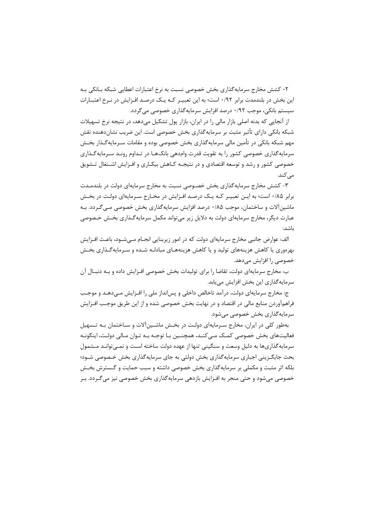۲- کشش مخارج سرمایه گذاری بخش خصوصی نسبت به نرخ اعتبارات اعطایی شبکه بـانکی بـه این بخش در بلندمدت برابر ۰/۹۲ است؛ به این تعبیـر کـه یـک درصـد افـزایش در نـرخ اعتبـارات سیستم بانکی، موجب ۰/۹۲ درصد افزایش سرمایهگذاری خصوصی می گردد.

از آنجایی که بدنه اصلی بازار مالی را در ایران، بازار یول تشکیل می دهد، در نتیجه نرخ تسهیلات شبکه بانکی دارای تأثیر مثبت بر سرمایهگذاری بخش خصوصی است. این ضریب نشاندهنده نقش مهم شبکه بانکی در تأمین مالی سرمایهگذاری بخش خصوصی بوده و مقامات سـرمایهگـذار بخـش سرمایهگذاری خصوصی کشور را به تقویت قدرت وامدهی بانکهـا در تـداوم رونـد سـرمایهگـذاری خصوصی کشور و رشد و توسعه اقتصادی و در نتیجـه کـاهش بیکـاری و افـزایش اشـتغال تـشویق مے کند.

۳- کشش مخارج سرمایهگذاری بخش خصـوصی نسبت به مخارج سرمایهای دولت در بلندمـدت برابر ۰/۸۵ است؛ به ایـن تعبیـر کـه یـک درصـد افـزایش در مخـارج سـرمایهای دولـت در بخـش ماشین آلات و ساختمان، موجب ۱۸۵۰ درصد افزایش سرمایه گذاری بخش خصوصی مـی گـردد. بـه عبارت دیگر، مخارج سرمایهای دولت به دلایل زیر می تواند مکمل سرمایه گـذاری بخـش خـصوصی باشد:

الف: عوارض جانبي مخارج سرمايهاي دولت كه در امور زيربنايي انجـام مـي شــود، باعـث افــزايش بهرهوری یا کاهش هزینههای تولید و یا کاهش هزینههـای مبادلـه شـده و سـرمایهگـذاری بخـش خصوصی را افزایش میدهد.

ب: مخارج سرمایهای دولت، تقاضا را برای تولیدات بخش خصوصی افـزایش داده و بـه دنبـال آن سرمایهگذاری این بخش افزایش مییابد.

ج: مخارج سرمایهای دولت، درآمد ناخالص داخلی و پس|نداز ملی را افـزایش مـیدهـد و موجـب فراهمآوردن منابع مالی در اقتصاد و در نهایت بخش خصوصی شده و از این طریق موجب افــزایش سرمايهگذاري بخش خصوصي مي شود.

بهطور کلی در ایران، مخارج سـرمایهای دولـت در بخـش ماشـین آلات و سـاختمان بـه تـسهیل فعالیتهای بخش خصوصی کمک مےکنـد، همچنـین بـا توجـه بـه تـوان مـالی دولـت، اینگونـه سرمایه گذاریها به دلیل وسعت و سنگینی تنها از عهده دولت ساخته است و نمـیتوانـد مـشمول بحث جایگـزینی اجباری سرمایهگذاری بخش دولتی به جای سرمایهگذاری بخش خـصوصی شـود؛ بلکه اثر مثبت و مکملی بر سرمایهگذاری بخش خصوصی داشته و سبب حمایت و گـسترش بخـش خصوصی می شود و حتی منجر به افـزایش بازدهی سرمایه گذاری بخش خصوصی نیز می گـردد. بـر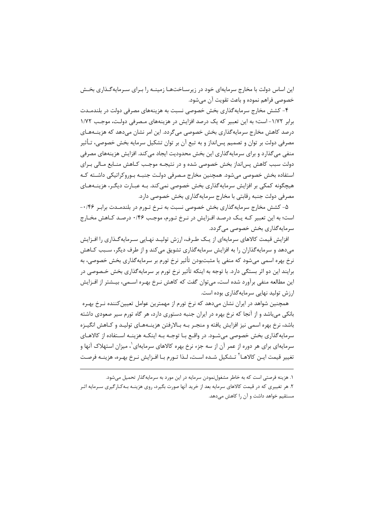این اساس دولت با مخارج سرمایهای خود در زیرسـاختهـا زمینـه را بـرای سـرمایهگـذاری بخـش خصوصی فراهم نموده و باعث تقویت آن مے شود.

۴- کشش مخارج سرمایه گذاری بخش خصوصی نسبت به هزینههای مصرفی دولت در بلندمـدت برابر ۱/۷۲- است؛ به این تعبیر که یک درصد افزایش در هزینههای مـصرفی دولـت، موجـب ۱/۷۲ درصد کاهش مخارج سرمایهگذاری بخش خصوصی میگردد. این امر نشان میدهد که هزینــههـای مصرفی دولت بر توان و تصمیم پس|نداز و به تبع آن بر توان تشکیل سرمایه بخش خصوصی، تـأثیر منفی میگذارد و برای سرمایهگذاری این بخش محدودیت ایجاد میکند. افزایش هزینههای مصرفی دولت سبب کاهش پسانداز بخش خصوصی شده و در نتیجـه موجـب کـاهش منـابع مـالی بـرای استفاده بخش خصوصی میشود. همچنین مخارج مـصرفی دولـت جنبـه بـوروكراتيكي داشـته كـه هیچگونه کمکی بر افزایش سرمایهگذاری بخش خصوصی نمی کند. بـه عبــارت دیگـر، هزینــههــای مصرفی دولت جنبه رقابتی با مخارج سرمایهگذاری بخش خصوصی دارد.

۵- کشش مخارج سرمایه گذاری بخش خصوصی نسبت به نـرخ تـورم در بلندمـدت برابـر ۰۰/۴۶-است؛ به این تعبیر کـه یـک درصـد افـزایش در نـرخ تـورم، موجـب ۰/۴۶ درصـد کـاهش مخـارج سرمايه گذاري بخش خصوصي مي گردد.

افزایش قیمت کالاهای سرمایهای از یـک طـرف، ارزش تولیـد نهـایی سـرمایهگـذاری را افـزایش میدهد و سرمایهگذاران را به افزایش سرمایهگذاری تشویق میکند و از طرف دیگر، سـبب کـاهش نرخ بهره اسمی میشود که منفی یا مثبتبودن تأثیر نرخ تورم بر سرمایهگذاری بخش خصوصی، به برایند این دو اثر بستگی دارد. با توجه به اینکه تأثیر نرخ تورم بر سرمایهگذاری بخش خـصوصی در این مطالعه منفی برآورد شده است، می توان گفت که کاهش نـرخ بهـره اســمی، بیـشتر از افــزایش ارزش تولید نهایی سرمایه گذاری بوده است.

همچنین شواهد در ایران نشان میدهد که نرخ تورم از مهمترین عوامل تعیین کننده نـرخ بهـره بانکی میباشد و از آنجا که نرخ بهره در ایران جنبه دستوری دارد، هر گاه تورم سیر صعودی داشته باشد، نرخ بهره اسمی نیز افزایش یافته و منجـر بـه بـالارفتن هزینـههـای تولیـد و کـاهش انگیـزه سرمایه گذاری بخش خصوصی می شـود. در واقـع بـا توجـه بـه اینکـه هزینـه اسـتفاده از کالاهـای سرمایهای برای هر دوره از عمر آن از سه جزء نرخ بهره کالاهای سرمایهای ٰ، میزان استهلاک آنها و تغيير قيمت ايـن كالاهــا<sup>٢</sup> تـشكيل شــده اســت، لـذا تــورم بــا افــزايش نــرخ بهـره، هزينــه فرصـت

۱. هزینه فرصتی است که به خاطر مشغولنمودن سرمایه در این مورد به سرمایهگذار تحمیل می شود. ۲. هر تغییری که در قیمت کالاهای سرمایه بعد از خرید آنها صورت بگیرد، روی هزینـه بـهکـارگیری سـرمایه اثـر مستقیم خواهد داشت و آن را کاهش میدهد.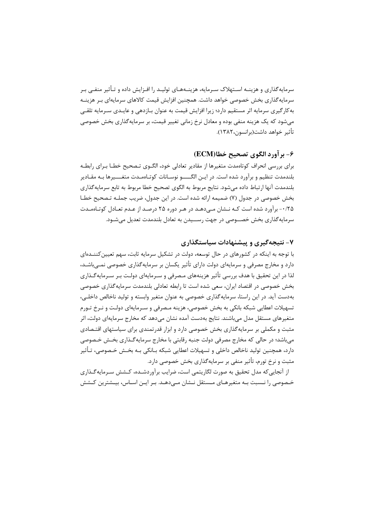سرمایهگذاری و هزینــه اســتهلاک ســرمایه، هزینــههــای تولیــد را افــزایش داده و تــأثیر منفــی بــر سرمایه گذاری بخش خصوصی خواهد داشت. همچنین افزایش قیمت کالاهای سرمایهای بـر هزینــه به کار گیری سرمایه اثر مستقیم دارد؛ زیرا افزایش قیمت به عنوان بـازدهی و عایـدی سـرمایه تلقـی می شود که یک هزینه منفی بوده و معادل نرخ زمانی تغییر قیمت، بر سرمایه گذاری بخش خصوصی تأثير خواهد داشت(برانسون،١٣٨٢).

#### ۶- بر آورد الگوی تصحیح خطا(ECM)

برای بررسی انحراف کوتاهمدت متغیرها از مقادیر تعادلی خود، الگـوی تـصحیح خطــا بـرای رابطــه بلندمدت تنظیم و برآورد شده است. در ایـن الگـــــو نوسـانات کوتـاهمـدت متغــــیرها بـه مقـادیر بلندمدت آنها ارتباط داده ميشود. نتايج مربوط به الگوى تصحيح خطا مربوط به تابع سرمايه گذارى بخش خصوصی در جدول (۷) ضمیمه ارائه شده است. در این جدول، ضریب جملـه تـصحیح خطـا ۰/۲۵ - برآورد شده است کـه نـشان مـیدهـد در هـر دوره ۲۵ درصـد از عـدم تعـادل کوتـاهمـدت سرمايهگذاري بخش خصــوصي در جهت رســيدن به تعادل بلندمدت تعديل مي شـود.

#### ۷- نتیجهگیری و پیشنهادات سیاستگذاری

با توجه به اینکه در کشورهای در حال توسعه، دولت در تشکیل سرمایه ثابت، سهم تعیین کننـدهای دارد و مخارج مصرفی و سرمایهای دولت دارای تأثیر یکسان بر سرمایه گذاری خصوصی نمــی باشــد، لذا در این تحقیق با هدف بررسی تأثیر هزینههای مـصرفی و سـرمایهای دولـت بـر سـرمایهگـذاری بخش خصوصی در اقتصاد ایران، سعی شده است تا رابطه تعادلی بلندمدت سرمایه گذاری خصوصی بهدست آید. در این راستا، سرمایه گذاری خصوصی به عنوان متغیر وابسته و تولید ناخالص داخلی، تسهیلات اعطایی شبکه بانکی به بخش خصوصی، هزینه مـصرفی و سـرمایهای دولـت و نـرخ تـورم متغیرهای مستقل مدل می باشند. نتایج بهدست آمده نشان می دهد که مخارج سرمایهای دولت، اثر مثبت و مکملی بر سرمایه گذاری بخش خصوصی دارد و ابزار قدرتمندی برای سیاستهای اقتـصادی می باشد؛ در حالی که مخارج مصرفی دولت جنبه رقابتی با مخارج سرمایه گـذاری بخـش خـصوصی دارد، همچنین تولید ناخالص داخلی و تسهیلات اعطایی شبکه بـانکی بـه بخـش خـصوصی، تـأثیر مثبت و نرخ تورم، تأثیر منفی بر سرمایهگذاری بخش خصوصی دارد.

از آنجایی که مدل تحقیق به صورت لگاریتمی است، ضرایب برآوردشـده، کـشش سـرمایه گـذاری خـصوصی را نـسبت بـه متغیرهـای مـستقل نـشان مـی۵هـد. بـر ایـن اسـاس، بیـشترین کـشش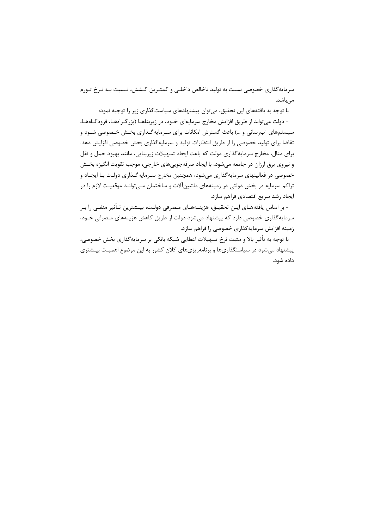سرمایهگذاری خصوصی نسبت به تولید ناخالص داخلـی و کمتـرین کـشش، نـسبت بـه نـرخ تـورم مے باشد.

با توجه به یافتههای این تحقیق، میتوان پیشنهادهای سیاستگذاری زیر را توجیه نمود:

- دولت می تواند از طریق افزایش مخارج سرمایهای خـود، در زیربناهـا (بزرگـراههـا، فرودگـاههـا، سیستمهای آب رسانی و …) باعث گسترش امکانات برای سـرمایهگـذاری بخـش خـصوصی شـود و تقاضا برای تولید خصوصی را از طریق انتظارات تولید و سرمایهگذاری بخش خصوصی افزایش دهد. برای مثال، مخارج سرمایه گذاری دولت که باعث ایجاد تسهیلات زیربنایی، مانند بهبود حمل و نقل و نیروی برق ارزان در جامعه میشود، با ایجاد صرفهجوییهای خارجی، موجب تقویت انگیزه بخـش خصوصی در فعالیتهای سرمایه گذاری میشود، همچنین مخارج سـرمایه گـذاری دولـت بـا ایجـاد و تراکم سرمایه در بخش دولتی در زمینههای ماشینآلات و ساختمان مـیتوانـد موقعیـت لازم را در ایجاد رشد سریع اقتصادی فراهم سازد.

- بر اساس یافتههـای ایــن تحقیــق، هزینــههــای مـصرفی دولــت، بیــشترین تــأثیر منفــی را بــر سرمایه گذاری خصوصی دارد که پیشنهاد میشود دولت از طریق کاهش هزینههای مصرفی خـود، زمینه افزایش سرمایهگذاری خصوصی را فراهم سازد.

با توجه به تأثير بالا و مثبت نرخ تسهيلات اعطايي شبكه بانكي بر سرمايه گذاري بخش خصوصي، پیشنهاد میشود در سیاستگذاریها و برنامهریزیهای کلان کشور به این موضوع اهمیت بیـشتری داده شود.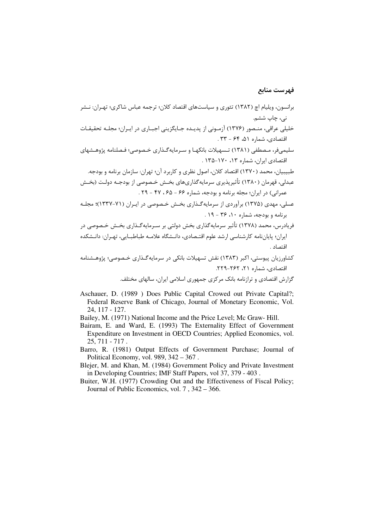### فهرست منابع

- عسلی، مهدی (۱۳۷۵) برآوردی از سرمایهگذاری بخش خصوصی در ایـران (۷۱-۱۳۳۷)؛ مجلـه برنامه و بودجه، شماره ۱۰، ۳۶ - ۱۹.
- فریادرس، محمد (۱۳۷۸) تأثیر سرمایهگذاری بخش دولتی بر سـرمایهگـذاری بخـش خـصوصی در ایران؛ پایاننامه کارشناسی ارشد علوم اقتـصادی، دانـشگاه علامـه طباطبـایی، تهـران: دانـشکده اقتصاد .
- کشاورزیان پیوستی، اکبر (۱۳۸۳) نقش تسهیلات بانکی در سرمایهگذاری خـصوصی؛ پژوهـشنامه اقتصادی، شماره ۲۱، ۲۶۲-۲۲۹.

گزارش اقتصادی و ترازنامه بانک مرکزی جمهوری اسلامی ایران، سالهای مختلف.

- Aschauer, D. (1989) Does Public Capital Crowed out Private Capital?; Federal Reserve Bank of Chicago, Journal of Monetary Economic, Vol. 24, 117 - 127.
- Bailey, M. (1971) National Income and the Price Level; Mc Graw-Hill.
- Bairam, E. and Ward, E. (1993) The Externality Effect of Government Expenditure on Investment in OECD Countries; Applied Economics, vol.  $25, 711 - 717$ .
- Barro, R. (1981) Output Effects of Government Purchase; Journal of Political Economy, vol. 989,  $342 - 367$ .
- Blejer, M. and Khan, M. (1984) Government Policy and Private Investment in Developing Countries; IMF Staff Papers, vol 37, 379 - 403.
- Buiter, W.H. (1977) Crowding Out and the Effectiveness of Fiscal Policy; Journal of Public Economics, vol. 7, 342 – 366.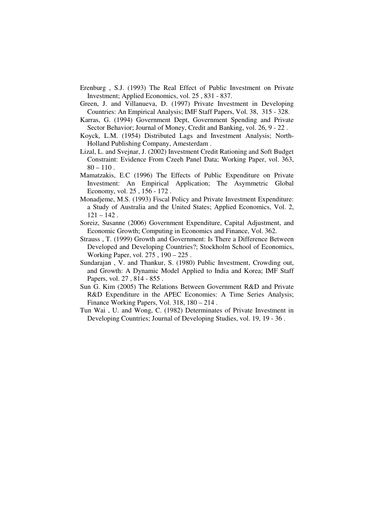- Erenburg , S.J. (1993) The Real Effect of Public Investment on Private Investment; Applied Economics, vol. 25 , 831 - 837.
- Green, J. and Villanueva, D. (1997) Private Investment in Developing Countries: An Empirical Analysis; IMF Staff Papers, Vol. 38, 315 - 328.
- Karras, G. (1994) Government Dept, Government Spending and Private Sector Behavior; Journal of Money, Credit and Banking, vol. 26, 9 - 22 .
- Koyck, L.M. (1954) Distributed Lags and Investment Analysis; North-Holland Publishing Company, Amesterdam .
- Lizal, L. and Svejnar, J. (2002) Investment Credit Rationing and Soft Budget Constraint: Evidence From Czeeh Panel Data; Working Paper, vol. 363,  $80 - 110$ .
- Mamatzakis, E.C (1996) The Effects of Public Expenditure on Private Investment: An Empirical Application; The Asymmetric Global Economy, vol. 25 , 156 - 172 .
- Monadjeme, M.S. (1993) Fiscal Policy and Private Investment Expenditure: a Study of Australia and the United States; Applied Economics, Vol. 2,  $121 - 142$ .
- Soreiz, Susanne (2006) Government Expenditure, Capital Adjustment, and Economic Growth; Computing in Economics and Finance, Vol. 362.
- Strauss , T. (1999) Growth and Government: Is There a Difference Between Developed and Developing Countries?; Stockholm School of Economics, Working Paper, vol. 275 , 190 – 225 .
- Sundarajan , V. and Thankur, S. (1980) Public Investment, Crowding out, and Growth: A Dynamic Model Applied to India and Korea; IMF Staff Papers, vol. 27 , 814 - 855 .
- Sun G. Kim (2005) The Relations Between Government R&D and Private R&D Expenditure in the APEC Economies: A Time Series Analysis: Finance Working Papers, Vol. 318, 180 – 214 .
- Tun Wai , U. and Wong, C. (1982) Determinates of Private Investment in Developing Countries; Journal of Developing Studies, vol. 19, 19 - 36 .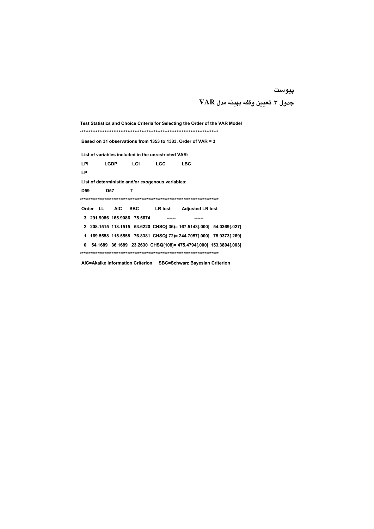#### پيوست

## جدول ٣. تعيين وقفه بهينه مدل VAR

Test Statistics and Choice Criteria for Selecting the Order of the VAR Model Based on 31 observations from 1353 to 1383. Order of VAR = 3 List of variables included in the unrestricted VAR: LGDP LGI LGC LBC LPI LP List of deterministic and/or exogenous variables: D<sub>59</sub> **D57**  $\mathbf{T}$ LR test Adjusted LR test Order LL AIC SBC 3 291.9086 165.9086 75.5674 ------ ----- ------2 208.1515 118.1515 53.6220 CHSQ(36)= 167.5143[.000] 54.0369[.027] 1 169.5558 115.5558 76.8381 CHSQ(72)= 244.7057[.000] 78.9373[.269] 0 54.1689 36.1689 23.2630 CHSQ(108)= 475.4794[.000] 153.3804[.003] 

AIC=Akaike Information Criterion SBC=Schwarz Bayesian Criterion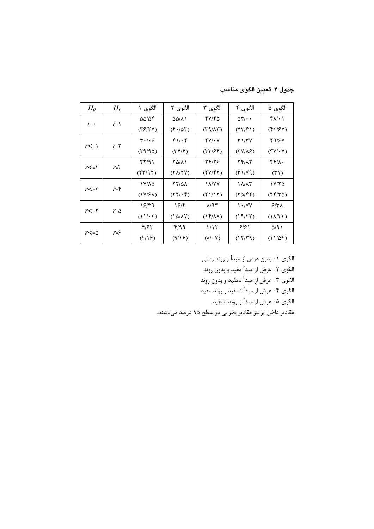جدول ۴. تعيين الكوى مناسب

| $H_0$                    | $H_I$          | الگوی ۱                       | الگوی ۲                          | الگوی ۳                                   | الگوی ۴                                   | الگوي ۵                                               |
|--------------------------|----------------|-------------------------------|----------------------------------|-------------------------------------------|-------------------------------------------|-------------------------------------------------------|
|                          |                | $\Delta\Delta/\Delta$ ۴       | ۵۵/۸۱                            | ۴۷/۴۵                                     | $\Delta \mathbf{Y}/\cdot \cdot$           | $f(\lambda) \cdot \lambda$                            |
| $r = -$                  | $r = \sqrt{ }$ | (TF/Y)                        | $(F \cdot / \Delta T)$           | $(\Upsilon \mathcal{A}/\Lambda \Upsilon)$ | $(\mathfrak{f}\mathfrak{r}/\mathfrak{f})$ | $(\mathfrak{f}\mathfrak{f}/\mathfrak{f}\mathfrak{V})$ |
|                          |                | ۳۰/۰۶                         | $f\cup\cdot\tau$                 | $\Upsilon V/\cdot V$                      | <b>۳۱/۳۷</b>                              | 29/67                                                 |
| $r\leq r$                | $r = 5$        | (59/90)                       | $(\uparrow \uparrow / \uparrow)$ | (T7/55)                                   | $(TV/\lambda)$                            | $(\Upsilon \Upsilon / \cdot \Upsilon)$                |
| $r$ <=۲                  | $r = r$        | $\frac{1}{2}$                 | ۲۵/۸۱                            | 24/26                                     | 74/17                                     | $\mathbf{Y} \mathbf{Y} / \mathbf{A}$                  |
|                          |                | (77/97)                       | $(Y\lambda/YY)$                  | $(5Y/\sqrt{5})$                           | $(\uparrow \uparrow)/\vee \uparrow)$      | $(1^{\prime})$                                        |
|                          | $r = f$        | ۱۷/۸۵                         | 77/Q1                            | <b><i>I A/YY</i></b>                      | ۱۸/۸۳                                     | ۱۷/۲۵                                                 |
| $r$ <=۳                  |                | $(1Y/F\Lambda)$               | $(YY/\cdot Y)$                   | (1117)                                    | $(Y\Delta/\mathfrak{k}Y)$                 | $(YF/Y\Delta)$                                        |
| $r$ $\lt$ $=$ $\uparrow$ |                | ۱۶۳۹                          | 19/5                             | $\lambda$ /9۳                             | $\mathcal{N} \cdot \mathcal{N}$           | $27\%$                                                |
|                          | $r = \Delta$   | $(11/\cdot 7)$                | $(\lambda \Delta/\lambda V)$     | $(1f/\lambda\lambda)$                     | (19/77)                                   | $(\lambda/\tau)$                                      |
|                          |                | ۴۱۶۲                          | f/99                             | Y/Y                                       | ۶۱۶۱                                      | $\Delta$ /9)                                          |
| $r<=\Delta$              | $r = \epsilon$ | $(\mathfrak{f}/\mathfrak{f})$ | (9/19)                           | $(\lambda/\cdot V)$                       | (17/T9)                                   | $(11/\Delta f)$                                       |

الگوي ۱ : بدون عرض از مبدأ و روند زماني

الگوي ٢ : عرض از مبدأ مقيد و بدون روند

الگوي ٣ : عرض از مبدأ نامقيد و بدون روند

الگوي ۴ : عرض از مبدأ نامقيد و روند مقيد

الگوي ۵ : عرض از مبدأ و روند نامقيد

مقادیر داخل پرانتز مقادیر بحرانی در سطح ۹۵ درصد میباشند.